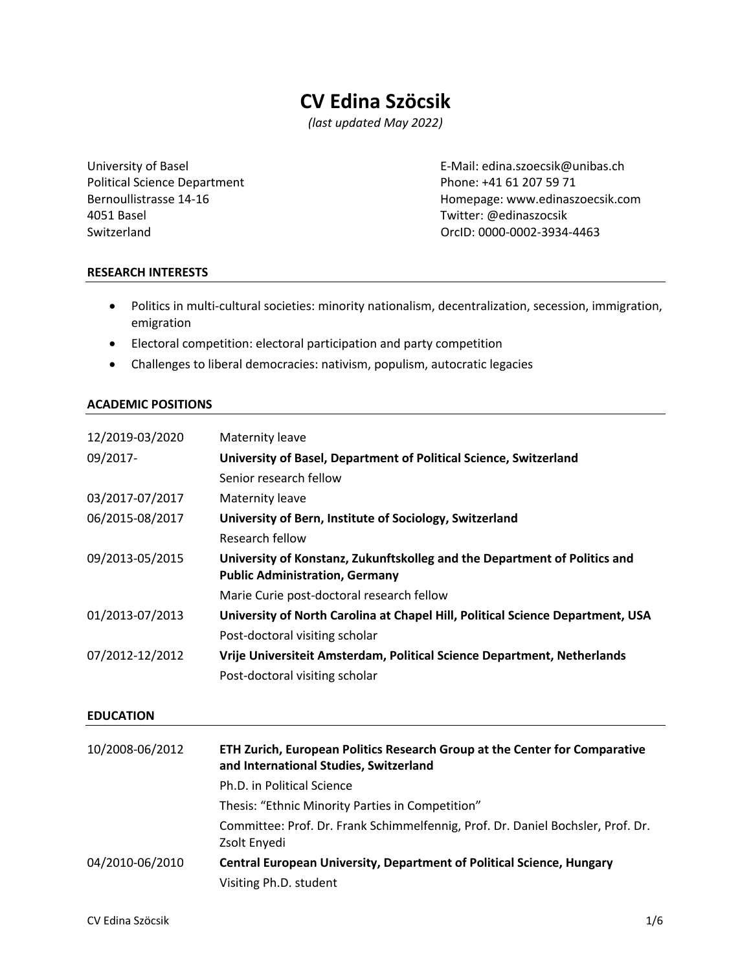# **CV Edina Szöcsik**

*(last updated May 2022)*

Political Science Department Phone: +41 61 207 59 71 4051 Basel Twitter: @edinaszocsik

University of Basel E-Mail: edina.szoecsik@unibas.ch Bernoullistrasse 14-16 **Bernoullistrasse 14-16** Momepage: www.edinaszoecsik.com SwitzerlandOrcID: 0000-0002-3934-4463

### **RESEARCH INTERESTS**

- Politics in multi-cultural societies: minority nationalism, decentralization, secession, immigration, emigration
- Electoral competition: electoral participation and party competition
- Challenges to liberal democracies: nativism, populism, autocratic legacies

### **ACADEMIC POSITIONS**

| 12/2019-03/2020 | Maternity leave                                                                                                    |
|-----------------|--------------------------------------------------------------------------------------------------------------------|
| 09/2017-        | University of Basel, Department of Political Science, Switzerland                                                  |
|                 | Senior research fellow                                                                                             |
| 03/2017-07/2017 | Maternity leave                                                                                                    |
| 06/2015-08/2017 | University of Bern, Institute of Sociology, Switzerland                                                            |
|                 | Research fellow                                                                                                    |
| 09/2013-05/2015 | University of Konstanz, Zukunftskolleg and the Department of Politics and<br><b>Public Administration, Germany</b> |
|                 | Marie Curie post-doctoral research fellow                                                                          |
| 01/2013-07/2013 | University of North Carolina at Chapel Hill, Political Science Department, USA                                     |
|                 | Post-doctoral visiting scholar                                                                                     |
| 07/2012-12/2012 | Vrije Universiteit Amsterdam, Political Science Department, Netherlands                                            |
|                 | Post-doctoral visiting scholar                                                                                     |

#### **EDUCATION**

| 10/2008-06/2012 | ETH Zurich, European Politics Research Group at the Center for Comparative<br>and International Studies, Switzerland |
|-----------------|----------------------------------------------------------------------------------------------------------------------|
|                 | Ph.D. in Political Science                                                                                           |
|                 | Thesis: "Ethnic Minority Parties in Competition"                                                                     |
|                 | Committee: Prof. Dr. Frank Schimmelfennig, Prof. Dr. Daniel Bochsler, Prof. Dr.<br>Zsolt Enyedi                      |
| 04/2010-06/2010 | <b>Central European University, Department of Political Science, Hungary</b>                                         |
|                 | Visiting Ph.D. student                                                                                               |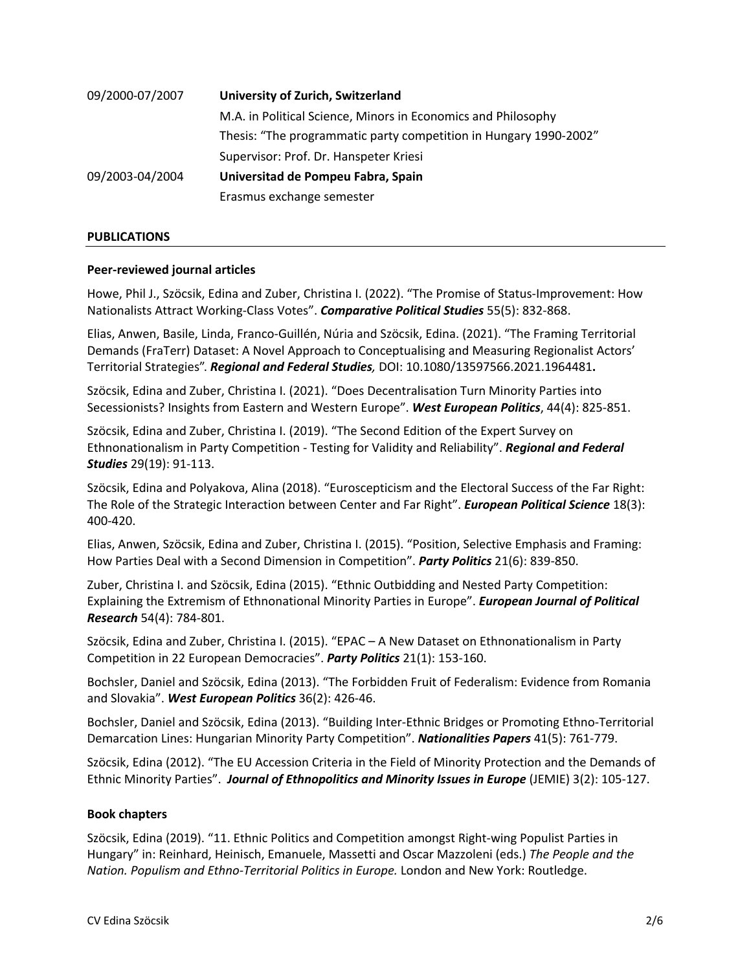| 09/2000-07/2007 | University of Zurich, Switzerland                                 |
|-----------------|-------------------------------------------------------------------|
|                 | M.A. in Political Science, Minors in Economics and Philosophy     |
|                 | Thesis: "The programmatic party competition in Hungary 1990-2002" |
|                 | Supervisor: Prof. Dr. Hanspeter Kriesi                            |
| 09/2003-04/2004 | Universitad de Pompeu Fabra, Spain                                |
|                 | Erasmus exchange semester                                         |

#### **PUBLICATIONS**

### **Peer-reviewed journal articles**

Howe, Phil J., Szöcsik, Edina and Zuber, Christina I. (2022). "The Promise of Status-Improvement: How Nationalists Attract Working-Class Votes". *Comparative Political Studies* 55(5): 832-868.

Elias, Anwen, Basile, Linda, Franco-Guillén, Núria and Szöcsik, Edina. (2021). "The Framing Territorial Demands (FraTerr) Dataset: A Novel Approach to Conceptualising and Measuring Regionalist Actors' Territorial Strategies". *Regional and Federal Studies,* DOI: 10.1080/13597566.2021.1964481**.**

Szöcsik, Edina and Zuber, Christina I. (2021). "Does Decentralisation Turn Minority Parties into Secessionists? Insights from Eastern and Western Europe". *West European Politics*, 44(4): 825-851.

Szöcsik, Edina and Zuber, Christina I. (2019). "The Second Edition of the Expert Survey on Ethnonationalism in Party Competition - Testing for Validity and Reliability". *Regional and Federal Studies* 29(19): 91-113.

Szöcsik, Edina and Polyakova, Alina (2018). "Euroscepticism and the Electoral Success of the Far Right: The Role of the Strategic Interaction between Center and Far Right". *European Political Science* 18(3): 400-420.

Elias, Anwen, Szöcsik, Edina and Zuber, Christina I. (2015). "Position, Selective Emphasis and Framing: How Parties Deal with a Second Dimension in Competition". *Party Politics* 21(6): 839-850.

Zuber, Christina I. and Szöcsik, Edina (2015). "Ethnic Outbidding and Nested Party Competition: Explaining the Extremism of Ethnonational Minority Parties in Europe". *European Journal of Political Research* 54(4): 784-801.

Szöcsik, Edina and Zuber, Christina I. (2015). "EPAC – A New Dataset on Ethnonationalism in Party Competition in 22 European Democracies". *Party Politics* 21(1): 153-160.

Bochsler, Daniel and Szöcsik, Edina (2013). "The Forbidden Fruit of Federalism: Evidence from Romania and Slovakia". *West European Politics* 36(2): 426-46.

Bochsler, Daniel and Szöcsik, Edina (2013). "Building Inter-Ethnic Bridges or Promoting Ethno-Territorial Demarcation Lines: Hungarian Minority Party Competition". *Nationalities Papers* 41(5): 761-779.

Szöcsik, Edina (2012). "The EU Accession Criteria in the Field of Minority Protection and the Demands of Ethnic Minority Parties". *Journal of Ethnopolitics and Minority Issues in Europe* (JEMIE) 3(2): 105-127.

#### **Book chapters**

Szöcsik, Edina (2019). "11. Ethnic Politics and Competition amongst Right-wing Populist Parties in Hungary" in: Reinhard, Heinisch, Emanuele, Massetti and Oscar Mazzoleni (eds.) *The People and the Nation. Populism and Ethno-Territorial Politics in Europe.* London and New York: Routledge.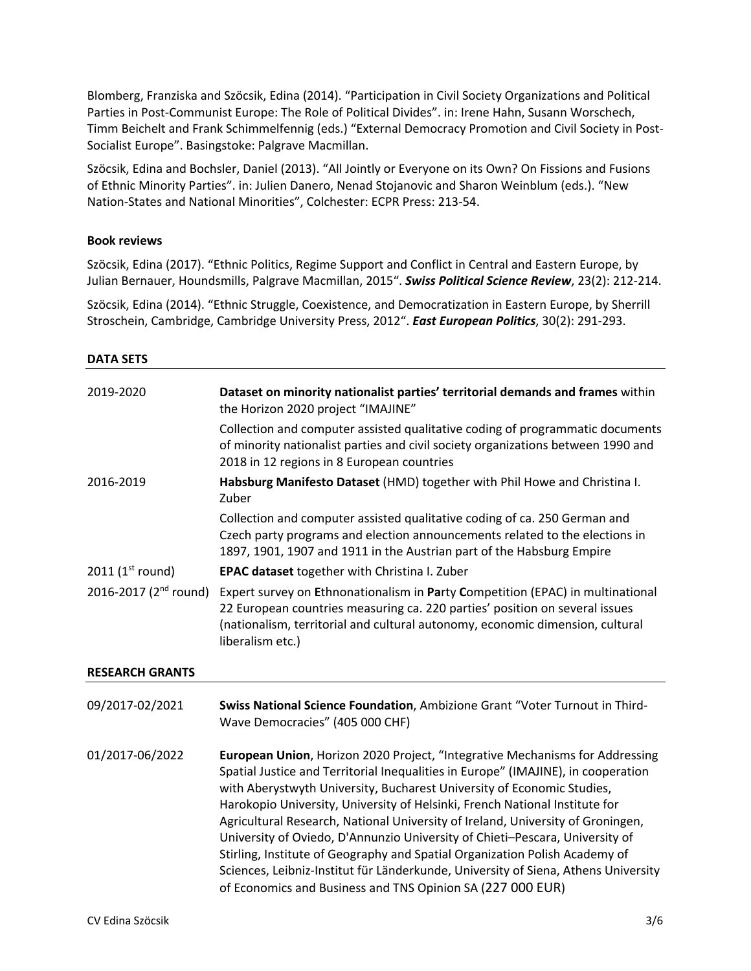Blomberg, Franziska and Szöcsik, Edina (2014). "Participation in Civil Society Organizations and Political Parties in Post-Communist Europe: The Role of Political Divides". in: Irene Hahn, Susann Worschech, Timm Beichelt and Frank Schimmelfennig (eds.) "External Democracy Promotion and Civil Society in Post-Socialist Europe". Basingstoke: Palgrave Macmillan.

Szöcsik, Edina and Bochsler, Daniel (2013). "All Jointly or Everyone on its Own? On Fissions and Fusions of Ethnic Minority Parties". in: Julien Danero, Nenad Stojanovic and Sharon Weinblum (eds.). "New Nation-States and National Minorities", Colchester: ECPR Press: 213-54.

### **Book reviews**

Szöcsik, Edina (2017). "Ethnic Politics, Regime Support and Conflict in Central and Eastern Europe, by Julian Bernauer, Houndsmills, Palgrave Macmillan, 2015". *Swiss Political Science Review*, 23(2): 212-214.

Szöcsik, Edina (2014). "Ethnic Struggle, Coexistence, and Democratization in Eastern Europe, by Sherrill Stroschein, Cambridge, Cambridge University Press, 2012". *East European Politics*, 30(2): 291-293.

| <b>DATA SETS</b>                  |                                                                                                                                                                                                                                                                                                                                                                                                                                                                                               |
|-----------------------------------|-----------------------------------------------------------------------------------------------------------------------------------------------------------------------------------------------------------------------------------------------------------------------------------------------------------------------------------------------------------------------------------------------------------------------------------------------------------------------------------------------|
| 2019-2020                         | Dataset on minority nationalist parties' territorial demands and frames within<br>the Horizon 2020 project "IMAJINE"                                                                                                                                                                                                                                                                                                                                                                          |
|                                   | Collection and computer assisted qualitative coding of programmatic documents<br>of minority nationalist parties and civil society organizations between 1990 and<br>2018 in 12 regions in 8 European countries                                                                                                                                                                                                                                                                               |
| 2016-2019                         | Habsburg Manifesto Dataset (HMD) together with Phil Howe and Christina I.<br>Zuber                                                                                                                                                                                                                                                                                                                                                                                                            |
|                                   | Collection and computer assisted qualitative coding of ca. 250 German and<br>Czech party programs and election announcements related to the elections in<br>1897, 1901, 1907 and 1911 in the Austrian part of the Habsburg Empire                                                                                                                                                                                                                                                             |
| 2011 ( $1^{\text{st}}$ round)     | EPAC dataset together with Christina I. Zuber                                                                                                                                                                                                                                                                                                                                                                                                                                                 |
| 2016-2017 (2 <sup>nd</sup> round) | Expert survey on Ethnonationalism in Party Competition (EPAC) in multinational<br>22 European countries measuring ca. 220 parties' position on several issues<br>(nationalism, territorial and cultural autonomy, economic dimension, cultural<br>liberalism etc.)                                                                                                                                                                                                                            |
| <b>RESEARCH GRANTS</b>            |                                                                                                                                                                                                                                                                                                                                                                                                                                                                                               |
| 09/2017-02/2021                   | Swiss National Science Foundation, Ambizione Grant "Voter Turnout in Third-<br>Wave Democracies" (405 000 CHF)                                                                                                                                                                                                                                                                                                                                                                                |
| 01/2017-06/2022                   | European Union, Horizon 2020 Project, "Integrative Mechanisms for Addressing<br>Spatial Justice and Territorial Inequalities in Europe" (IMAJINE), in cooperation<br>with Aberystwyth University, Bucharest University of Economic Studies,<br>Harokopio University, University of Helsinki, French National Institute for<br>Agricultural Research, National University of Ireland, University of Groningen,<br>University of Oviedo, D'Annunzio University of Chieti-Pescara, University of |

Stirling, Institute of Geography and Spatial Organization Polish Academy of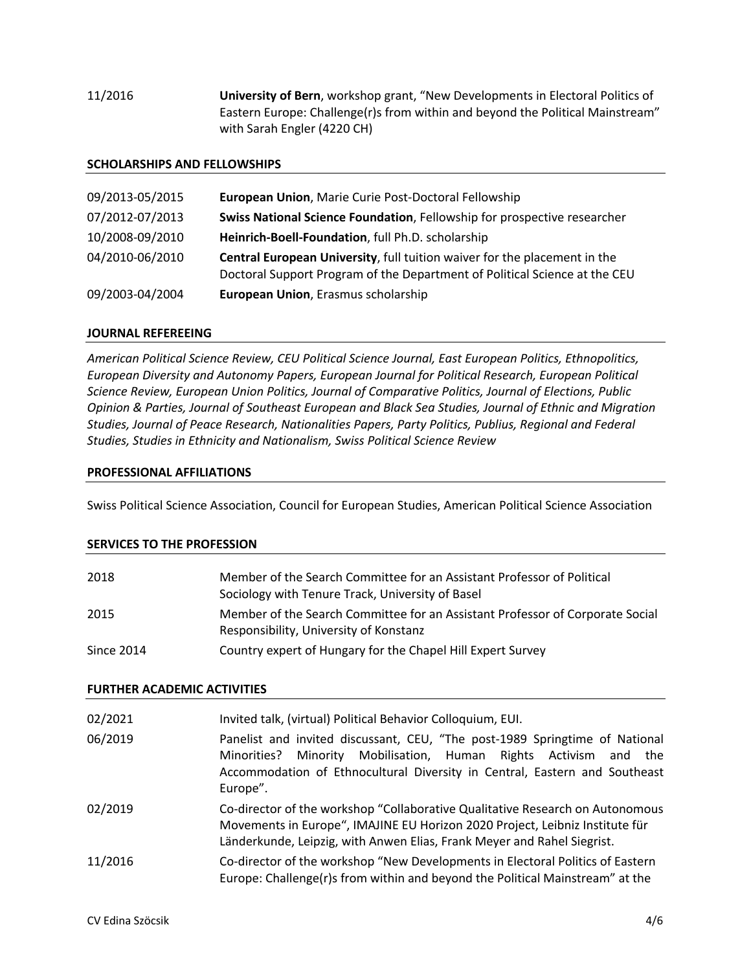11/2016 **University of Bern**, workshop grant, "New Developments in Electoral Politics of Eastern Europe: Challenge(r)s from within and beyond the Political Mainstream" with Sarah Engler (4220 CH)

#### **SCHOLARSHIPS AND FELLOWSHIPS**

| 09/2013-05/2015 | European Union, Marie Curie Post-Doctoral Fellowship                                                                                                    |
|-----------------|---------------------------------------------------------------------------------------------------------------------------------------------------------|
| 07/2012-07/2013 | Swiss National Science Foundation, Fellowship for prospective researcher                                                                                |
| 10/2008-09/2010 | Heinrich-Boell-Foundation, full Ph.D. scholarship                                                                                                       |
| 04/2010-06/2010 | Central European University, full tuition waiver for the placement in the<br>Doctoral Support Program of the Department of Political Science at the CEU |
| 09/2003-04/2004 | European Union, Erasmus scholarship                                                                                                                     |

### **JOURNAL REFEREEING**

*American Political Science Review, CEU Political Science Journal, East European Politics, Ethnopolitics, European Diversity and Autonomy Papers, European Journal for Political Research, European Political Science Review, European Union Politics, Journal of Comparative Politics, Journal of Elections, Public Opinion & Parties, Journal of Southeast European and Black Sea Studies, Journal of Ethnic and Migration Studies, Journal of Peace Research, Nationalities Papers, Party Politics, Publius, Regional and Federal Studies, Studies in Ethnicity and Nationalism, Swiss Political Science Review*

#### **PROFESSIONAL AFFILIATIONS**

Swiss Political Science Association, Council for European Studies, American Political Science Association

#### **SERVICES TO THE PROFESSION**

| 2018              | Member of the Search Committee for an Assistant Professor of Political<br>Sociology with Tenure Track, University of Basel |
|-------------------|----------------------------------------------------------------------------------------------------------------------------|
| 2015              | Member of the Search Committee for an Assistant Professor of Corporate Social<br>Responsibility, University of Konstanz    |
| <b>Since 2014</b> | Country expert of Hungary for the Chapel Hill Expert Survey                                                                |

#### **FURTHER ACADEMIC ACTIVITIES**

| 02/2021 | Invited talk, (virtual) Political Behavior Colloquium, EUI.                                                                                                                                                                                  |
|---------|----------------------------------------------------------------------------------------------------------------------------------------------------------------------------------------------------------------------------------------------|
| 06/2019 | Panelist and invited discussant, CEU, "The post-1989 Springtime of National<br>Minority Mobilisation, Human Rights Activism and the<br>Minorities?<br>Accommodation of Ethnocultural Diversity in Central, Eastern and Southeast<br>Europe". |
| 02/2019 | Co-director of the workshop "Collaborative Qualitative Research on Autonomous<br>Movements in Europe", IMAJINE EU Horizon 2020 Project, Leibniz Institute für<br>Länderkunde, Leipzig, with Anwen Elias, Frank Meyer and Rahel Siegrist.     |
| 11/2016 | Co-director of the workshop "New Developments in Electoral Politics of Eastern<br>Europe: Challenge(r)s from within and beyond the Political Mainstream" at the                                                                              |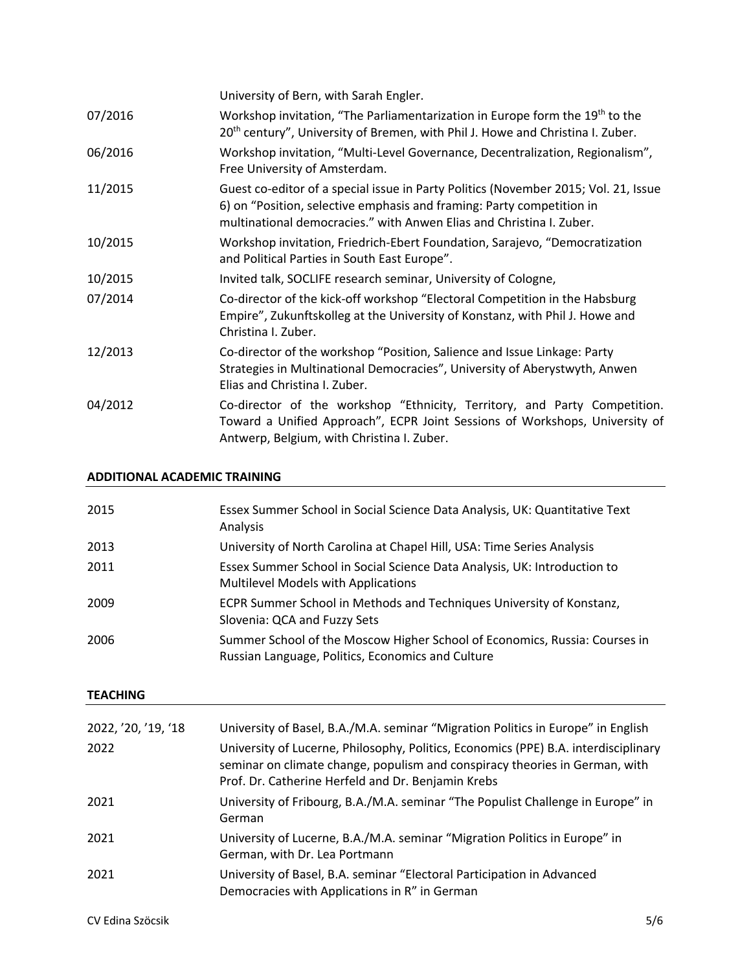|         | University of Bern, with Sarah Engler.                                                                                                                                                                                               |
|---------|--------------------------------------------------------------------------------------------------------------------------------------------------------------------------------------------------------------------------------------|
| 07/2016 | Workshop invitation, "The Parliamentarization in Europe form the 19 <sup>th</sup> to the<br>20 <sup>th</sup> century", University of Bremen, with Phil J. Howe and Christina I. Zuber.                                               |
| 06/2016 | Workshop invitation, "Multi-Level Governance, Decentralization, Regionalism",<br>Free University of Amsterdam.                                                                                                                       |
| 11/2015 | Guest co-editor of a special issue in Party Politics (November 2015; Vol. 21, Issue<br>6) on "Position, selective emphasis and framing: Party competition in<br>multinational democracies." with Anwen Elias and Christina I. Zuber. |
| 10/2015 | Workshop invitation, Friedrich-Ebert Foundation, Sarajevo, "Democratization<br>and Political Parties in South East Europe".                                                                                                          |
| 10/2015 | Invited talk, SOCLIFE research seminar, University of Cologne,                                                                                                                                                                       |
| 07/2014 | Co-director of the kick-off workshop "Electoral Competition in the Habsburg<br>Empire", Zukunftskolleg at the University of Konstanz, with Phil J. Howe and<br>Christina I. Zuber.                                                   |
| 12/2013 | Co-director of the workshop "Position, Salience and Issue Linkage: Party<br>Strategies in Multinational Democracies", University of Aberystwyth, Anwen<br>Elias and Christina I. Zuber.                                              |
| 04/2012 | Co-director of the workshop "Ethnicity, Territory, and Party Competition.<br>Toward a Unified Approach", ECPR Joint Sessions of Workshops, University of<br>Antwerp, Belgium, with Christina I. Zuber.                               |

## **ADDITIONAL ACADEMIC TRAINING**

| 2015 | Essex Summer School in Social Science Data Analysis, UK: Quantitative Text<br>Analysis                                          |
|------|---------------------------------------------------------------------------------------------------------------------------------|
| 2013 | University of North Carolina at Chapel Hill, USA: Time Series Analysis                                                          |
| 2011 | Essex Summer School in Social Science Data Analysis, UK: Introduction to<br>Multilevel Models with Applications                 |
| 2009 | ECPR Summer School in Methods and Techniques University of Konstanz,<br>Slovenia: QCA and Fuzzy Sets                            |
| 2006 | Summer School of the Moscow Higher School of Economics, Russia: Courses in<br>Russian Language, Politics, Economics and Culture |

# **TEACHING**

| 2022, '20, '19, '18<br>2022 | University of Basel, B.A./M.A. seminar "Migration Politics in Europe" in English<br>University of Lucerne, Philosophy, Politics, Economics (PPE) B.A. interdisciplinary<br>seminar on climate change, populism and conspiracy theories in German, with<br>Prof. Dr. Catherine Herfeld and Dr. Benjamin Krebs |
|-----------------------------|--------------------------------------------------------------------------------------------------------------------------------------------------------------------------------------------------------------------------------------------------------------------------------------------------------------|
| 2021                        | University of Fribourg, B.A./M.A. seminar "The Populist Challenge in Europe" in<br>German                                                                                                                                                                                                                    |
| 2021                        | University of Lucerne, B.A./M.A. seminar "Migration Politics in Europe" in<br>German, with Dr. Lea Portmann                                                                                                                                                                                                  |
| 2021                        | University of Basel, B.A. seminar "Electoral Participation in Advanced<br>Democracies with Applications in R" in German                                                                                                                                                                                      |